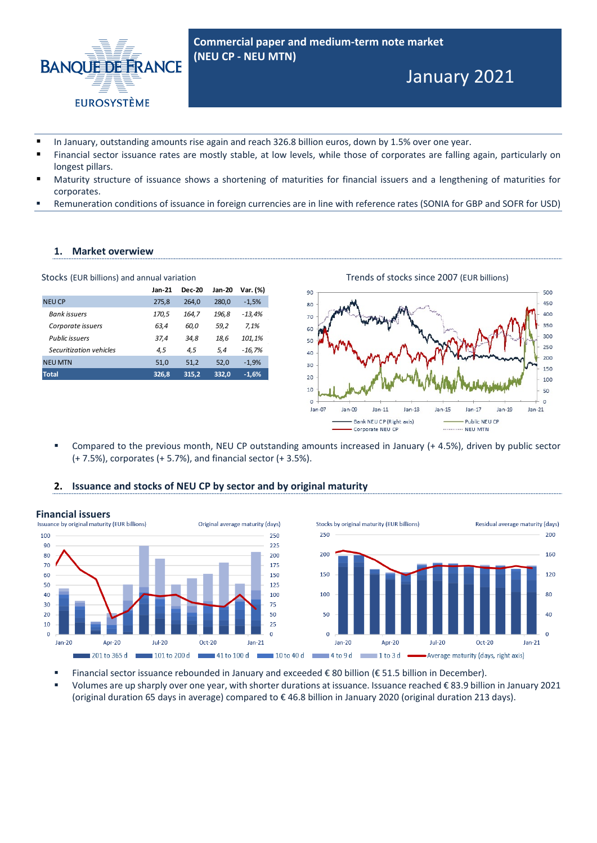

**Commercial paper and medium-term note market (NEU CP - NEU MTN)** 

# January 2021

- In January, outstanding amounts rise again and reach 326.8 billion euros, down by 1.5% over one year.
- Financial sector issuance rates are mostly stable, at low levels, while those of corporates are falling again, particularly on longest pillars.
- Maturity structure of issuance shows a shortening of maturities for financial issuers and a lengthening of maturities for corporates.
- Remuneration conditions of issuance in foreign currencies are in line with reference rates (SONIA for GBP and SOFR for USD)

#### **1. Market overwiew**

|                         | Jan-21 | <b>Dec-20</b> | <b>Jan-20</b> | Var. (%) |
|-------------------------|--------|---------------|---------------|----------|
| <b>NEU CP</b>           | 275,8  | 264.0         | 280.0         | $-1,5%$  |
| <b>Bank</b> issuers     | 170,5  | 164.7         | 196,8         | $-13,4%$ |
| Corporate issuers       | 63,4   | 60,0          | 59,2          | 7,1%     |
| Public issuers          | 37,4   | 34,8          | 18.6          | 101,1%   |
| Securitization vehicles | 4,5    | 4,5           | 5,4           | $-16,7%$ |
| <b>NEU MTN</b>          | 51,0   | 51,2          | 52,0          | $-1,9%$  |
| <b>Total</b>            | 326,8  | 315,2         | 332,0         | $-1,6%$  |





 Compared to the previous month, NEU CP outstanding amounts increased in January (+ 4.5%), driven by public sector (+ 7.5%), corporates (+ 5.7%), and financial sector (+ 3.5%).

#### **2. Issuance and stocks of NEU CP by sector and by original maturity**



- Financial sector issuance rebounded in January and exceeded € 80 billion (€ 51.5 billion in December).
- Volumes are up sharply over one year, with shorter durations at issuance. Issuance reached € 83.9 billion in January 2021 (original duration 65 days in average) compared to € 46.8 billion in January 2020 (original duration 213 days).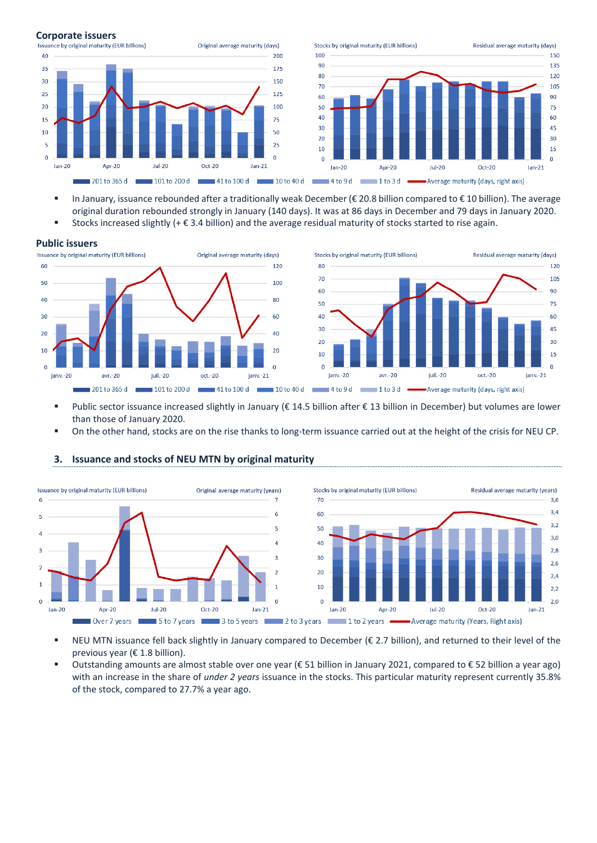

- In January, issuance rebounded after a traditionally weak December (€ 20.8 billion compared to € 10 billion). The average original duration rebounded strongly in January (140 days). It was at 86 days in December and 79 days in January 2020.
- Stocks increased slightly (+ € 3.4 billion) and the average residual maturity of stocks started to rise again.

#### **Public issuers**



- Public sector issuance increased slightly in January ( $\epsilon$  14.5 billion after  $\epsilon$  13 billion in December) but volumes are lower than those of January 2020.
- On the other hand, stocks are on the rise thanks to long-term issuance carried out at the height of the crisis for NEU CP.



#### **3. Issuance and stocks of NEU MTN by original maturity**

- NEU MTN issuance fell back slightly in January compared to December (€ 2.7 billion), and returned to their level of the previous year (€ 1.8 billion).
- Outstanding amounts are almost stable over one year (€ 51 billion in January 2021, compared to € 52 billion a year ago) with an increase in the share of *under 2 years* issuance in the stocks. This particular maturity represent currently 35.8% of the stock, compared to 27.7% a year ago.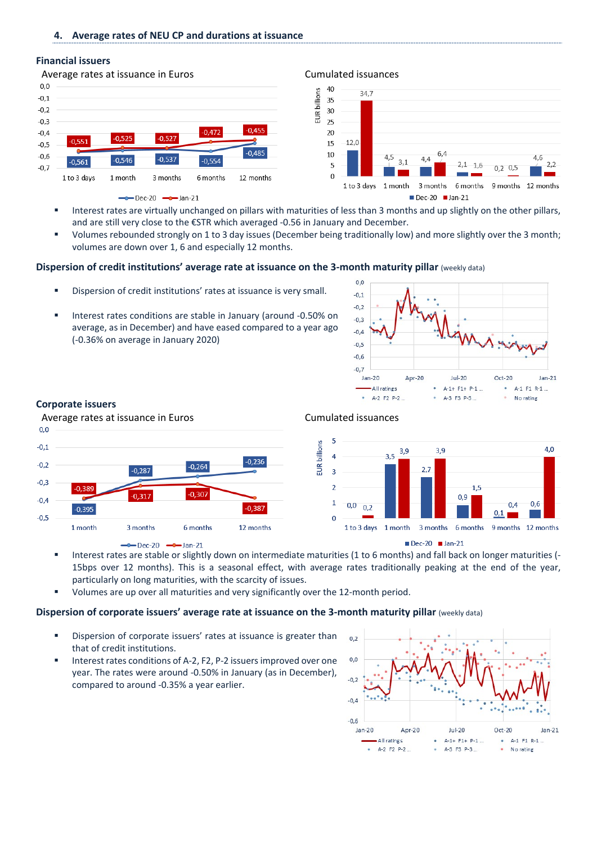#### **4. Average rates of NEU CP and durations at issuance**

#### **Financial issuers**





- Interest rates are virtually unchanged on pillars with maturities of less than 3 months and up slightly on the other pillars, and are still very close to the €STR which averaged -0.56 in January and December.
- Volumes rebounded strongly on 1 to 3 day issues (December being traditionally low) and more slightly over the 3 month; volumes are down over 1, 6 and especially 12 months.

#### **Dispersion of credit institutions' average rate at issuance on the 3-month maturity pillar** (weekly data)

- Dispersion of credit institutions' rates at issuance is very small.
- Interest rates conditions are stable in January (around -0.50% on average, as in December) and have eased compared to a year ago (-0.36% on average in January 2020)



#### **Corporate issuers**





 Interest rates are stable or slightly down on intermediate maturities (1 to 6 months) and fall back on longer maturities (- 15bps over 12 months). This is a seasonal effect, with average rates traditionally peaking at the end of the year, particularly on long maturities, with the scarcity of issues.

**EUR** billions

Volumes are up over all maturities and very significantly over the 12-month period.

#### **Dispersion of corporate issuers' average rate at issuance on the 3-month maturity pillar** (weekly data)

- Dispersion of corporate issuers' rates at issuance is greater than that of credit institutions.
- Interest rates conditions of A-2, F2, P-2 issuers improved over one year. The rates were around -0.50% in January (as in December), compared to around -0.35% a year earlier.